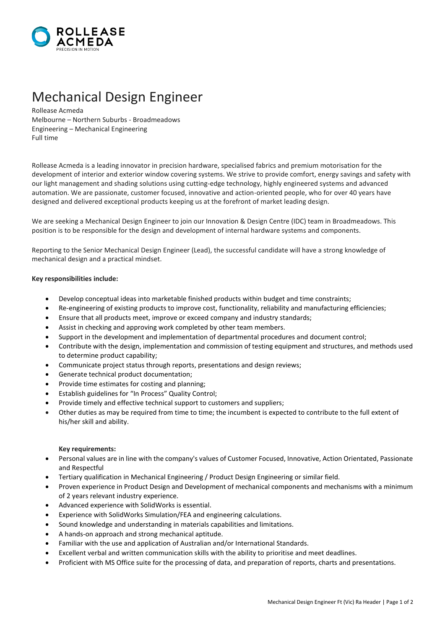

## Mechanical Design Engineer

Rollease Acmeda Melbourne – Northern Suburbs - Broadmeadows Engineering – Mechanical Engineering Full time

Rollease Acmeda is a leading innovator in precision hardware, specialised fabrics and premium motorisation for the development of interior and exterior window covering systems. We strive to provide comfort, energy savings and safety with our light management and shading solutions using cutting-edge technology, highly engineered systems and advanced automation. We are passionate, customer focused, innovative and action-oriented people, who for over 40 years have designed and delivered exceptional products keeping us at the forefront of market leading design.

We are seeking a Mechanical Design Engineer to join our Innovation & Design Centre (IDC) team in Broadmeadows. This position is to be responsible for the design and development of internal hardware systems and components.

Reporting to the Senior Mechanical Design Engineer (Lead), the successful candidate will have a strong knowledge of mechanical design and a practical mindset.

## **Key responsibilities include:**

- Develop conceptual ideas into marketable finished products within budget and time constraints;
- Re-engineering of existing products to improve cost, functionality, reliability and manufacturing efficiencies;
- Ensure that all products meet, improve or exceed company and industry standards;
- Assist in checking and approving work completed by other team members.
- Support in the development and implementation of departmental procedures and document control;
- Contribute with the design, implementation and commission of testing equipment and structures, and methods used to determine product capability;
- Communicate project status through reports, presentations and design reviews;
- Generate technical product documentation;
- Provide time estimates for costing and planning;
- Establish guidelines for "In Process" Quality Control;
- Provide timely and effective technical support to customers and suppliers;
- Other duties as may be required from time to time; the incumbent is expected to contribute to the full extent of his/her skill and ability.

## **Key requirements:**

- Personal values are in line with the company's values of Customer Focused, Innovative, Action Orientated, Passionate and Respectful
- Tertiary qualification in Mechanical Engineering / Product Design Engineering or similar field.
- Proven experience in Product Design and Development of mechanical components and mechanisms with a minimum of 2 years relevant industry experience.
- Advanced experience with SolidWorks is essential.
- Experience with SolidWorks Simulation/FEA and engineering calculations.
- Sound knowledge and understanding in materials capabilities and limitations.
- A hands-on approach and strong mechanical aptitude.
- Familiar with the use and application of Australian and/or International Standards.
- Excellent verbal and written communication skills with the ability to prioritise and meet deadlines.
- Proficient with MS Office suite for the processing of data, and preparation of reports, charts and presentations.